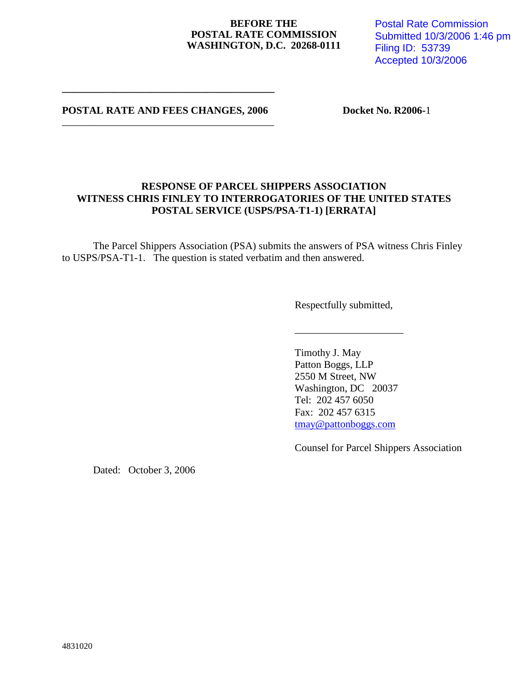#### **BEFORE THE POSTAL RATE COMMISSION WASHINGTON, D.C. 20268-0111**

Postal Rate Commission Submitted 10/3/2006 1:46 pm Filing ID: 53739 Accepted 10/3/2006

**POSTAL RATE AND FEES CHANGES, 2006 Docket No. R2006-1** \_\_\_\_\_\_\_\_\_\_\_\_\_\_\_\_\_\_\_\_\_\_\_\_\_\_\_\_\_\_\_\_\_\_\_\_\_\_\_\_\_

**\_\_\_\_\_\_\_\_\_\_\_\_\_\_\_\_\_\_\_\_\_\_\_\_\_\_\_\_\_\_\_\_\_\_\_\_\_\_\_\_\_**

## **RESPONSE OF PARCEL SHIPPERS ASSOCIATION WITNESS CHRIS FINLEY TO INTERROGATORIES OF THE UNITED STATES POSTAL SERVICE (USPS/PSA-T1-1) [ERRATA]**

The Parcel Shippers Association (PSA) submits the answers of PSA witness Chris Finley to USPS/PSA-T1-1. The question is stated verbatim and then answered.

Respectfully submitted,

\_\_\_\_\_\_\_\_\_\_\_\_\_\_\_\_\_\_\_\_\_

Timothy J. May Patton Boggs, LLP 2550 M Street, NW Washington, DC 20037 Tel: 202 457 6050 Fax: 202 457 6315 tmay@pattonboggs.com

Counsel for Parcel Shippers Association

Dated: October 3, 2006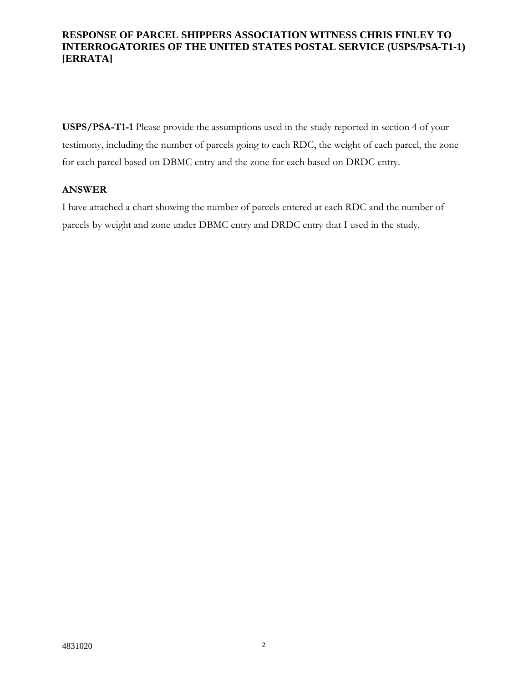## **RESPONSE OF PARCEL SHIPPERS ASSOCIATION WITNESS CHRIS FINLEY TO INTERROGATORIES OF THE UNITED STATES POSTAL SERVICE (USPS/PSA-T1-1) [ERRATA]**

**USPS/PSA-T1-1** Please provide the assumptions used in the study reported in section 4 of your testimony, including the number of parcels going to each RDC, the weight of each parcel, the zone for each parcel based on DBMC entry and the zone for each based on DRDC entry.

### **ANSWER**

I have attached a chart showing the number of parcels entered at each RDC and the number of parcels by weight and zone under DBMC entry and DRDC entry that I used in the study.